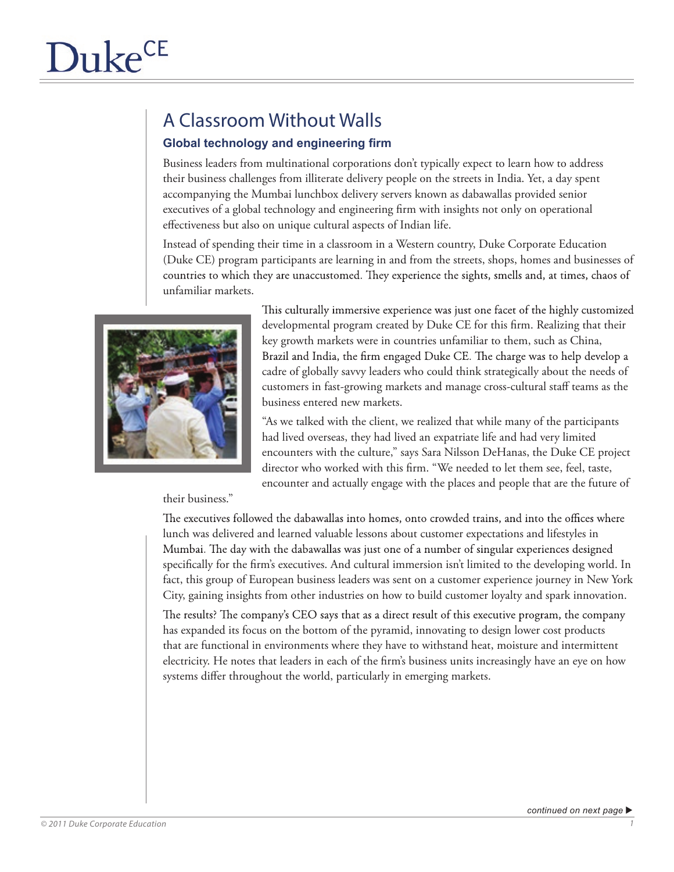## A Classroom Without Walls

## **Global technology and engineering firm**

Business leaders from multinational corporations don't typically expect to learn how to address their business challenges from illiterate delivery people on the streets in India. Yet, a day spent accompanying the Mumbai lunchbox delivery servers known as dabawallas provided senior executives of a global technology and engineering firm with insights not only on operational effectiveness but also on unique cultural aspects of Indian life.

Instead of spending their time in a classroom in a Western country, Duke Corporate Education (Duke CE) program participants are learning in and from the streets, shops, homes and businesses of countries to which they are unaccustomed. They experience the sights, smells and, at times, chaos of unfamiliar markets.



This culturally immersive experience was just one facet of the highly customized developmental program created by Duke CE for this firm. Realizing that their key growth markets were in countries unfamiliar to them, such as China, Brazil and India, the firm engaged Duke CE. The charge was to help develop a cadre of globally savvy leaders who could think strategically about the needs of customers in fast-growing markets and manage cross-cultural staff teams as the business entered new markets.

"As we talked with the client, we realized that while many of the participants had lived overseas, they had lived an expatriate life and had very limited encounters with the culture," says Sara Nilsson DeHanas, the Duke CE project director who worked with this firm. "We needed to let them see, feel, taste, encounter and actually engage with the places and people that are the future of

their business."

The executives followed the dabawallas into homes, onto crowded trains, and into the offices where lunch was delivered and learned valuable lessons about customer expectations and lifestyles in Mumbai. The day with the dabawallas was just one of a number of singular experiences designed specifically for the firm's executives. And cultural immersion isn't limited to the developing world. In fact, this group of European business leaders was sent on a customer experience journey in New York City, gaining insights from other industries on how to build customer loyalty and spark innovation.

The results? The company's CEO says that as a direct result of this executive program, the company has expanded its focus on the bottom of the pyramid, innovating to design lower cost products that are functional in environments where they have to withstand heat, moisture and intermittent electricity. He notes that leaders in each of the firm's business units increasingly have an eye on how systems differ throughout the world, particularly in emerging markets.